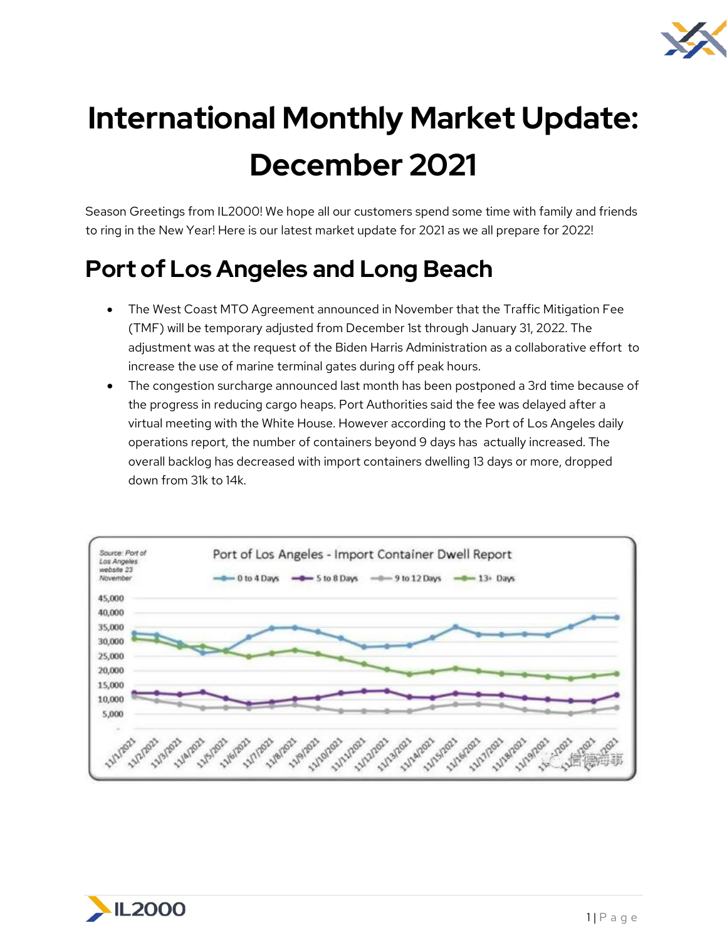

# **International Monthly Market Update: December 2021**

Season Greetings from IL2000! We hope all our customers spend some time with family and friends to ring in the New Year! Here is our latest market update for 2021 as we all prepare for 2022!

## **Port of Los Angeles and Long Beach**

- The West Coast MTO Agreement announced in November that the Traffic Mitigation Fee (TMF) will be temporary adjusted from December 1st through January 31, 2022. The adjustment was at the request of the Biden Harris Administration as a collaborative effort to increase the use of marine terminal gates during off peak hours.
- The congestion surcharge announced last month has been postponed a 3rd time because of the progress in reducing cargo heaps. Port Authorities said the fee was delayed after a virtual meeting with the White House. However according to the Port of Los Angeles daily operations report, the number of containers beyond 9 days has actually increased. The overall backlog has decreased with import containers dwelling 13 days or more, dropped down from 31k to 14k.



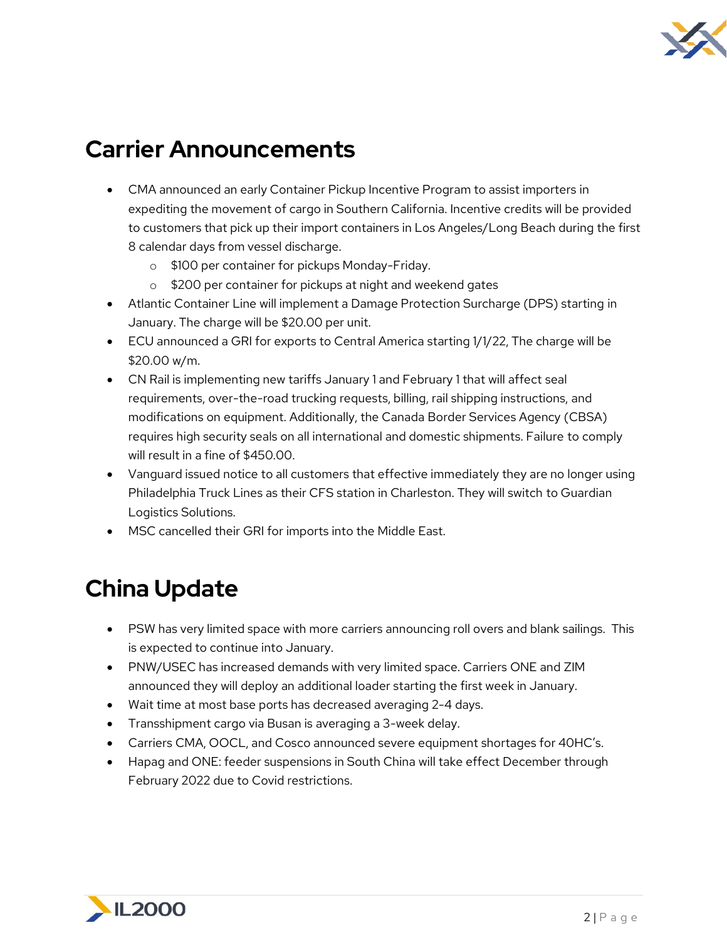

### **Carrier Announcements**

- CMA announced an early Container Pickup Incentive Program to assist importers in expediting the movement of cargo in Southern California. Incentive credits will be provided to customers that pick up their import containers in Los Angeles/Long Beach during the first 8 calendar days from vessel discharge.
	- o \$100 per container for pickups Monday-Friday.
	- o \$200 per container for pickups at night and weekend gates
- Atlantic Container Line will implement a Damage Protection Surcharge (DPS) starting in January. The charge will be \$20.00 per unit.
- ECU announced a GRI for exports to Central America starting 1/1/22, The charge will be \$20.00 w/m.
- CN Rail is implementing new tariffs January 1 and February 1 that will affect seal requirements, over-the-road trucking requests, billing, rail shipping instructions, and modifications on equipment. Additionally, the Canada Border Services Agency (CBSA) requires high security seals on all international and domestic shipments. Failure to comply will result in a fine of \$450.00.
- Vanguard issued notice to all customers that effective immediately they are no longer using Philadelphia Truck Lines as their CFS station in Charleston. They will switch to Guardian Logistics Solutions.
- MSC cancelled their GRI for imports into the Middle East.

#### **China Update**

- PSW has very limited space with more carriers announcing roll overs and blank sailings. This is expected to continue into January.
- PNW/USEC has increased demands with very limited space. Carriers ONE and ZIM announced they will deploy an additional loader starting the first week in January.
- Wait time at most base ports has decreased averaging 2-4 days.
- Transshipment cargo via Busan is averaging a 3-week delay.
- Carriers CMA, OOCL, and Cosco announced severe equipment shortages for 40HC's.
- Hapag and ONE: feeder suspensions in South China will take effect December through February 2022 due to Covid restrictions.

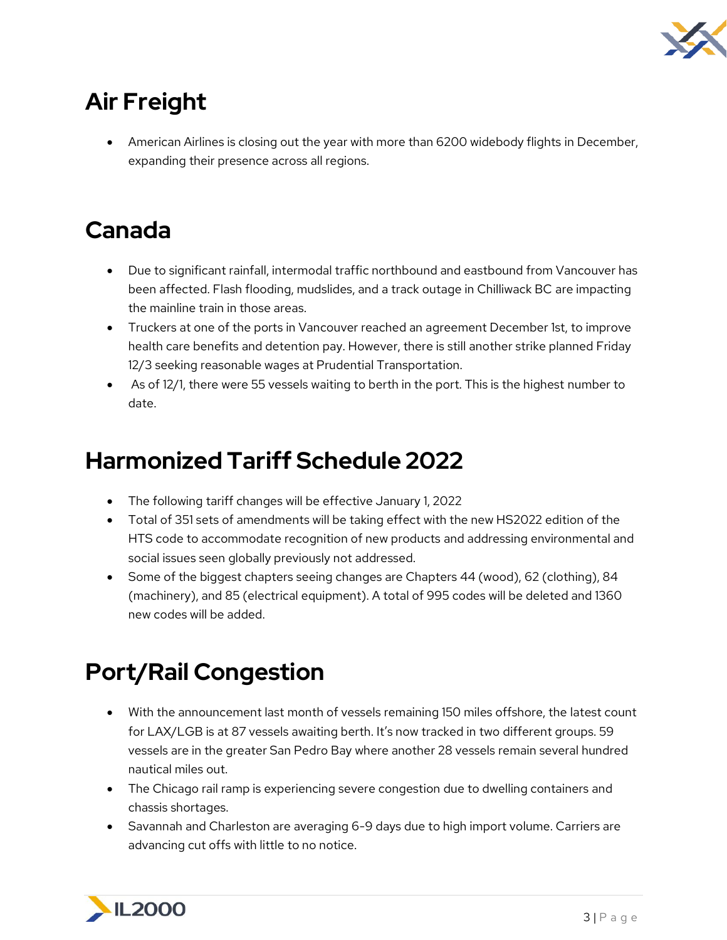

# **Air Freight**

• American Airlines is closing out the year with more than 6200 widebody flights in December, expanding their presence across all regions.

## **Canada**

- Due to significant rainfall, intermodal traffic northbound and eastbound from Vancouver has been affected. Flash flooding, mudslides, and a track outage in Chilliwack BC are impacting the mainline train in those areas.
- Truckers at one of the ports in Vancouver reached an agreement December 1st, to improve health care benefits and detention pay. However, there is still another strike planned Friday 12/3 seeking reasonable wages at Prudential Transportation.
- As of 12/1, there were 55 vessels waiting to berth in the port. This is the highest number to date.

#### **Harmonized Tariff Schedule 2022**

- The following tariff changes will be effective January 1, 2022
- Total of 351 sets of amendments will be taking effect with the new HS2022 edition of the HTS code to accommodate recognition of new products and addressing environmental and social issues seen globally previously not addressed.
- Some of the biggest chapters seeing changes are Chapters 44 (wood), 62 (clothing), 84 (machinery), and 85 (electrical equipment). A total of 995 codes will be deleted and 1360 new codes will be added.

# **Port/Rail Congestion**

- With the announcement last month of vessels remaining 150 miles offshore, the latest count for LAX/LGB is at 87 vessels awaiting berth. It's now tracked in two different groups. 59 vessels are in the greater San Pedro Bay where another 28 vessels remain several hundred nautical miles out.
- The Chicago rail ramp is experiencing severe congestion due to dwelling containers and chassis shortages.
- Savannah and Charleston are averaging 6-9 days due to high import volume. Carriers are advancing cut offs with little to no notice.